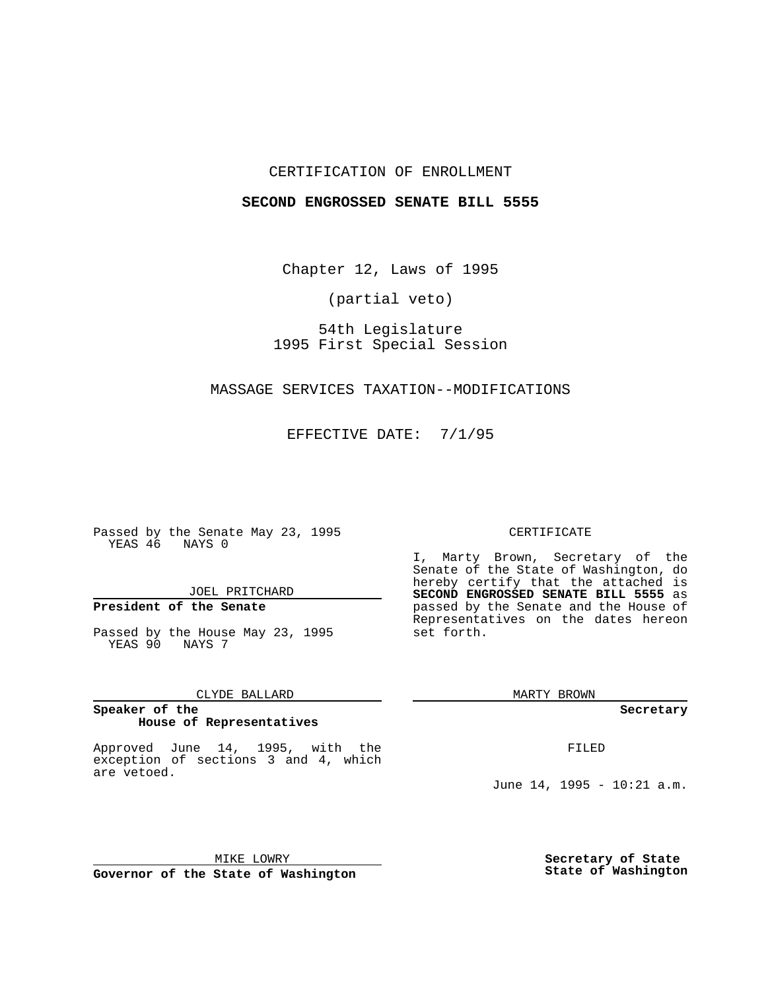## CERTIFICATION OF ENROLLMENT

### **SECOND ENGROSSED SENATE BILL 5555**

Chapter 12, Laws of 1995

(partial veto)

54th Legislature 1995 First Special Session

## MASSAGE SERVICES TAXATION--MODIFICATIONS

EFFECTIVE DATE: 7/1/95

Passed by the Senate May 23, 1995 YEAS 46 NAYS 0

JOEL PRITCHARD

# **President of the Senate**

Passed by the House May 23, 1995 YEAS 90 NAYS 7

CLYDE BALLARD

#### **Speaker of the House of Representatives**

Approved June 14, 1995, with the exception of sections 3 and 4, which are vetoed.

# CERTIFICATE

I, Marty Brown, Secretary of the Senate of the State of Washington, do hereby certify that the attached is **SECOND ENGROSSED SENATE BILL 5555** as passed by the Senate and the House of Representatives on the dates hereon set forth.

MARTY BROWN

**Secretary**

FILED

June 14, 1995 - 10:21 a.m.

MIKE LOWRY **Governor of the State of Washington** **Secretary of State State of Washington**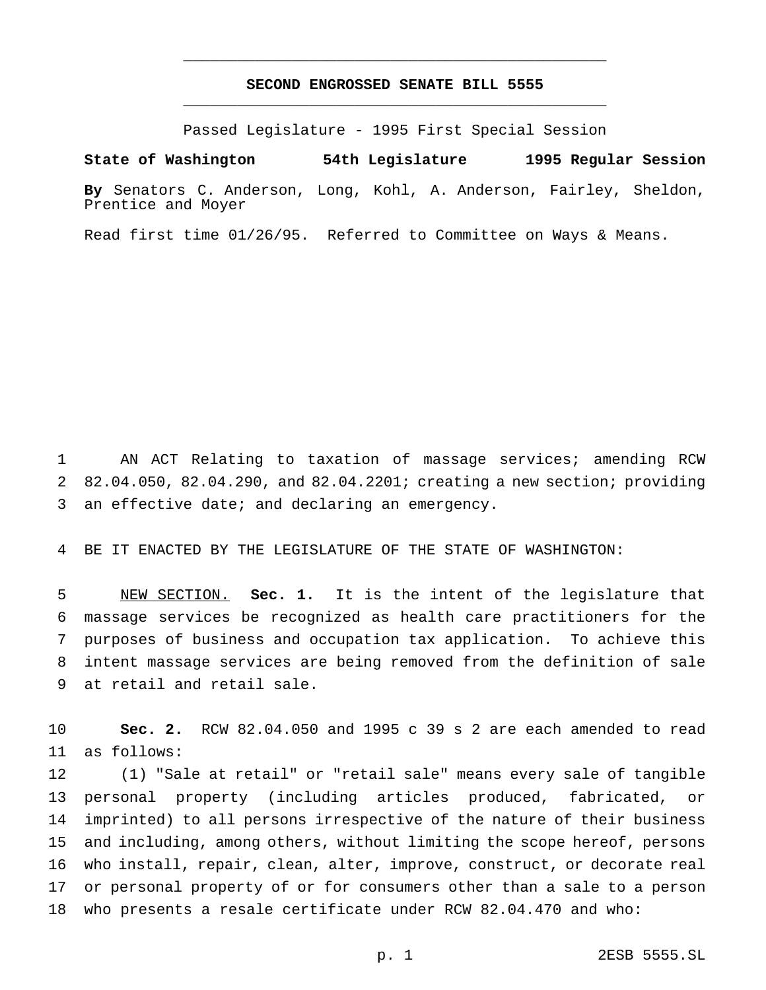# **SECOND ENGROSSED SENATE BILL 5555** \_\_\_\_\_\_\_\_\_\_\_\_\_\_\_\_\_\_\_\_\_\_\_\_\_\_\_\_\_\_\_\_\_\_\_\_\_\_\_\_\_\_\_\_\_\_\_

\_\_\_\_\_\_\_\_\_\_\_\_\_\_\_\_\_\_\_\_\_\_\_\_\_\_\_\_\_\_\_\_\_\_\_\_\_\_\_\_\_\_\_\_\_\_\_

Passed Legislature - 1995 First Special Session

**State of Washington 54th Legislature 1995 Regular Session**

**By** Senators C. Anderson, Long, Kohl, A. Anderson, Fairley, Sheldon, Prentice and Moyer

Read first time 01/26/95. Referred to Committee on Ways & Means.

 AN ACT Relating to taxation of massage services; amending RCW 82.04.050, 82.04.290, and 82.04.2201; creating a new section; providing an effective date; and declaring an emergency.

BE IT ENACTED BY THE LEGISLATURE OF THE STATE OF WASHINGTON:

 NEW SECTION. **Sec. 1.** It is the intent of the legislature that massage services be recognized as health care practitioners for the purposes of business and occupation tax application. To achieve this intent massage services are being removed from the definition of sale at retail and retail sale.

 **Sec. 2.** RCW 82.04.050 and 1995 c 39 s 2 are each amended to read as follows:

 (1) "Sale at retail" or "retail sale" means every sale of tangible personal property (including articles produced, fabricated, or imprinted) to all persons irrespective of the nature of their business and including, among others, without limiting the scope hereof, persons who install, repair, clean, alter, improve, construct, or decorate real or personal property of or for consumers other than a sale to a person who presents a resale certificate under RCW 82.04.470 and who: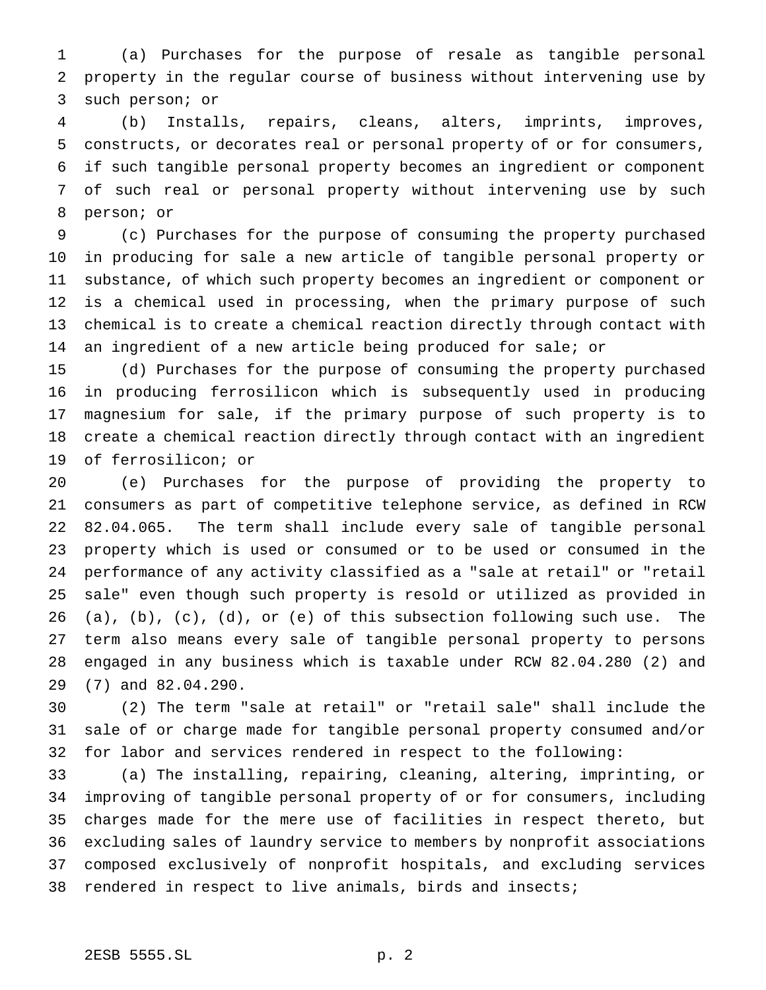(a) Purchases for the purpose of resale as tangible personal property in the regular course of business without intervening use by such person; or

 (b) Installs, repairs, cleans, alters, imprints, improves, constructs, or decorates real or personal property of or for consumers, if such tangible personal property becomes an ingredient or component of such real or personal property without intervening use by such person; or

 (c) Purchases for the purpose of consuming the property purchased in producing for sale a new article of tangible personal property or substance, of which such property becomes an ingredient or component or is a chemical used in processing, when the primary purpose of such chemical is to create a chemical reaction directly through contact with an ingredient of a new article being produced for sale; or

 (d) Purchases for the purpose of consuming the property purchased in producing ferrosilicon which is subsequently used in producing magnesium for sale, if the primary purpose of such property is to create a chemical reaction directly through contact with an ingredient of ferrosilicon; or

 (e) Purchases for the purpose of providing the property to consumers as part of competitive telephone service, as defined in RCW 82.04.065. The term shall include every sale of tangible personal property which is used or consumed or to be used or consumed in the performance of any activity classified as a "sale at retail" or "retail sale" even though such property is resold or utilized as provided in (a), (b), (c), (d), or (e) of this subsection following such use. The term also means every sale of tangible personal property to persons engaged in any business which is taxable under RCW 82.04.280 (2) and (7) and 82.04.290.

 (2) The term "sale at retail" or "retail sale" shall include the sale of or charge made for tangible personal property consumed and/or for labor and services rendered in respect to the following:

 (a) The installing, repairing, cleaning, altering, imprinting, or improving of tangible personal property of or for consumers, including charges made for the mere use of facilities in respect thereto, but excluding sales of laundry service to members by nonprofit associations composed exclusively of nonprofit hospitals, and excluding services rendered in respect to live animals, birds and insects;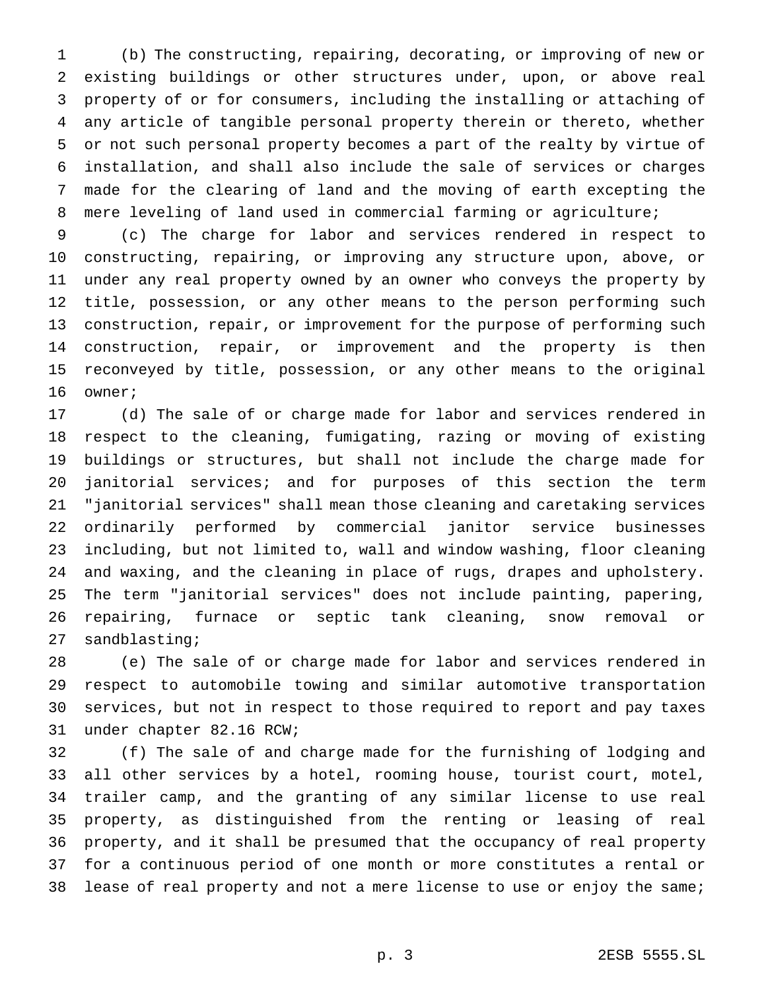(b) The constructing, repairing, decorating, or improving of new or existing buildings or other structures under, upon, or above real property of or for consumers, including the installing or attaching of any article of tangible personal property therein or thereto, whether or not such personal property becomes a part of the realty by virtue of installation, and shall also include the sale of services or charges made for the clearing of land and the moving of earth excepting the mere leveling of land used in commercial farming or agriculture;

 (c) The charge for labor and services rendered in respect to constructing, repairing, or improving any structure upon, above, or under any real property owned by an owner who conveys the property by title, possession, or any other means to the person performing such construction, repair, or improvement for the purpose of performing such construction, repair, or improvement and the property is then reconveyed by title, possession, or any other means to the original owner;

 (d) The sale of or charge made for labor and services rendered in respect to the cleaning, fumigating, razing or moving of existing buildings or structures, but shall not include the charge made for janitorial services; and for purposes of this section the term "janitorial services" shall mean those cleaning and caretaking services ordinarily performed by commercial janitor service businesses including, but not limited to, wall and window washing, floor cleaning and waxing, and the cleaning in place of rugs, drapes and upholstery. The term "janitorial services" does not include painting, papering, repairing, furnace or septic tank cleaning, snow removal or sandblasting;

 (e) The sale of or charge made for labor and services rendered in respect to automobile towing and similar automotive transportation services, but not in respect to those required to report and pay taxes under chapter 82.16 RCW;

 (f) The sale of and charge made for the furnishing of lodging and all other services by a hotel, rooming house, tourist court, motel, trailer camp, and the granting of any similar license to use real property, as distinguished from the renting or leasing of real property, and it shall be presumed that the occupancy of real property for a continuous period of one month or more constitutes a rental or lease of real property and not a mere license to use or enjoy the same;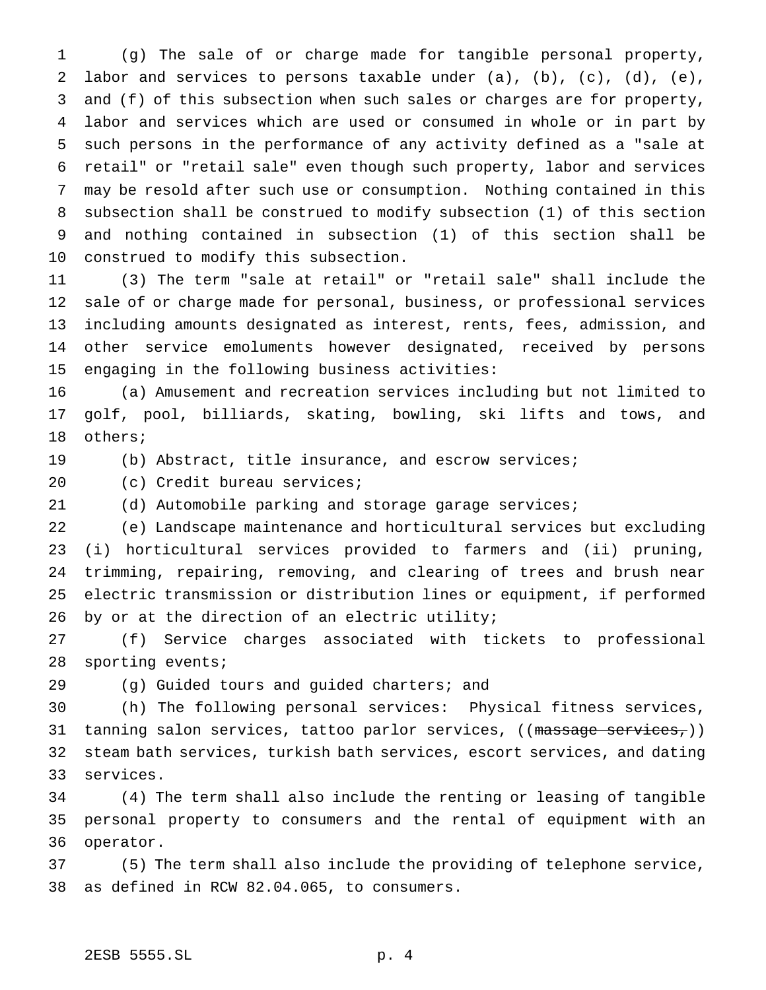(g) The sale of or charge made for tangible personal property, labor and services to persons taxable under (a), (b), (c), (d), (e), and (f) of this subsection when such sales or charges are for property, labor and services which are used or consumed in whole or in part by such persons in the performance of any activity defined as a "sale at retail" or "retail sale" even though such property, labor and services may be resold after such use or consumption. Nothing contained in this subsection shall be construed to modify subsection (1) of this section and nothing contained in subsection (1) of this section shall be construed to modify this subsection.

 (3) The term "sale at retail" or "retail sale" shall include the sale of or charge made for personal, business, or professional services including amounts designated as interest, rents, fees, admission, and other service emoluments however designated, received by persons engaging in the following business activities:

 (a) Amusement and recreation services including but not limited to golf, pool, billiards, skating, bowling, ski lifts and tows, and others;

(b) Abstract, title insurance, and escrow services;

20 (c) Credit bureau services;

(d) Automobile parking and storage garage services;

 (e) Landscape maintenance and horticultural services but excluding (i) horticultural services provided to farmers and (ii) pruning, trimming, repairing, removing, and clearing of trees and brush near electric transmission or distribution lines or equipment, if performed 26 by or at the direction of an electric utility;

 (f) Service charges associated with tickets to professional sporting events;

(g) Guided tours and guided charters; and

 (h) The following personal services: Physical fitness services, 31 tanning salon services, tattoo parlor services,  $((\text{massage services}_r))$  steam bath services, turkish bath services, escort services, and dating services.

 (4) The term shall also include the renting or leasing of tangible personal property to consumers and the rental of equipment with an operator.

 (5) The term shall also include the providing of telephone service, as defined in RCW 82.04.065, to consumers.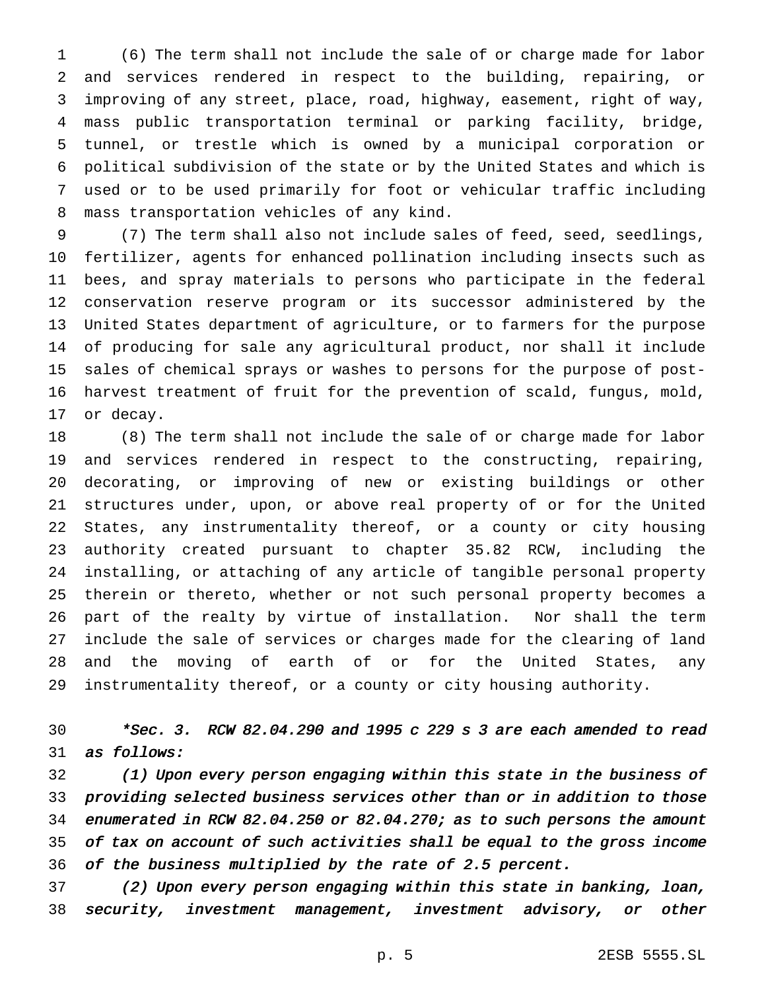(6) The term shall not include the sale of or charge made for labor and services rendered in respect to the building, repairing, or improving of any street, place, road, highway, easement, right of way, mass public transportation terminal or parking facility, bridge, tunnel, or trestle which is owned by a municipal corporation or political subdivision of the state or by the United States and which is used or to be used primarily for foot or vehicular traffic including mass transportation vehicles of any kind.

 (7) The term shall also not include sales of feed, seed, seedlings, fertilizer, agents for enhanced pollination including insects such as bees, and spray materials to persons who participate in the federal conservation reserve program or its successor administered by the United States department of agriculture, or to farmers for the purpose of producing for sale any agricultural product, nor shall it include sales of chemical sprays or washes to persons for the purpose of post- harvest treatment of fruit for the prevention of scald, fungus, mold, or decay.

 (8) The term shall not include the sale of or charge made for labor and services rendered in respect to the constructing, repairing, decorating, or improving of new or existing buildings or other structures under, upon, or above real property of or for the United States, any instrumentality thereof, or a county or city housing authority created pursuant to chapter 35.82 RCW, including the installing, or attaching of any article of tangible personal property therein or thereto, whether or not such personal property becomes a part of the realty by virtue of installation. Nor shall the term include the sale of services or charges made for the clearing of land and the moving of earth of or for the United States, any instrumentality thereof, or a county or city housing authority.

# \*Sec. 3. RCW 82.04.290 and <sup>1995</sup> <sup>c</sup> <sup>229</sup> <sup>s</sup> <sup>3</sup> are each amended to read as follows:

 (1) Upon every person engaging within this state in the business of providing selected business services other than or in addition to those enumerated in RCW 82.04.250 or 82.04.270; as to such persons the amount of tax on account of such activities shall be equal to the gross income of the business multiplied by the rate of 2.5 percent.

 (2) Upon every person engaging within this state in banking, loan, security, investment management, investment advisory, or other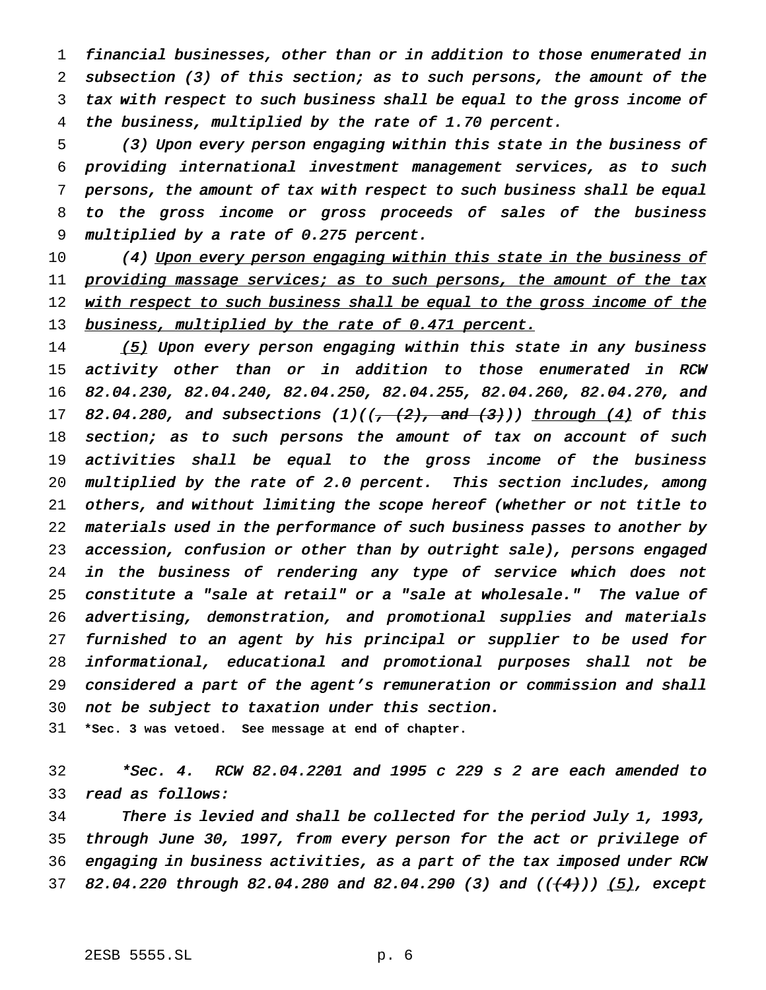financial businesses, other than or in addition to those enumerated in subsection (3) of this section; as to such persons, the amount of the tax with respect to such business shall be equal to the gross income of the business, multiplied by the rate of 1.70 percent.

 (3) Upon every person engaging within this state in the business of providing international investment management services, as to such persons, the amount of tax with respect to such business shall be equal to the gross income or gross proceeds of sales of the business multiplied by <sup>a</sup> rate of 0.275 percent.

10 (4) Upon every person engaging within this state in the business of 11 providing massage services; as to such persons, the amount of the tax 12 with respect to such business shall be equal to the gross income of the 13 business, multiplied by the rate of 0.471 percent.

14 (5) Upon every person engaging within this state in any business activity other than or in addition to those enumerated in RCW 82.04.230, 82.04.240, 82.04.250, 82.04.255, 82.04.260, 82.04.270, and 17 82.04.280, and subsections  $(1)((,-(2), \text{ and } (3)))$  through  $(4)$  of this 18 section; as to such persons the amount of tax on account of such activities shall be equal to the gross income of the business multiplied by the rate of 2.0 percent. This section includes, among others, and without limiting the scope hereof (whether or not title to materials used in the performance of such business passes to another by accession, confusion or other than by outright sale), persons engaged in the business of rendering any type of service which does not constitute <sup>a</sup> "sale at retail" or <sup>a</sup> "sale at wholesale." The value of advertising, demonstration, and promotional supplies and materials furnished to an agent by his principal or supplier to be used for informational, educational and promotional purposes shall not be considered <sup>a</sup> part of the agent's remuneration or commission and shall not be subject to taxation under this section.

**\*Sec. 3 was vetoed. See message at end of chapter.**

 \*Sec. 4. RCW 82.04.2201 and <sup>1995</sup> <sup>c</sup> <sup>229</sup> <sup>s</sup> <sup>2</sup> are each amended to read as follows:

 There is levied and shall be collected for the period July 1, 1993, through June 30, 1997, from every person for the act or privilege of engaging in business activities, as <sup>a</sup> part of the tax imposed under RCW 37 82.04.220 through 82.04.280 and 82.04.290 (3) and  $((+4))$  (5), except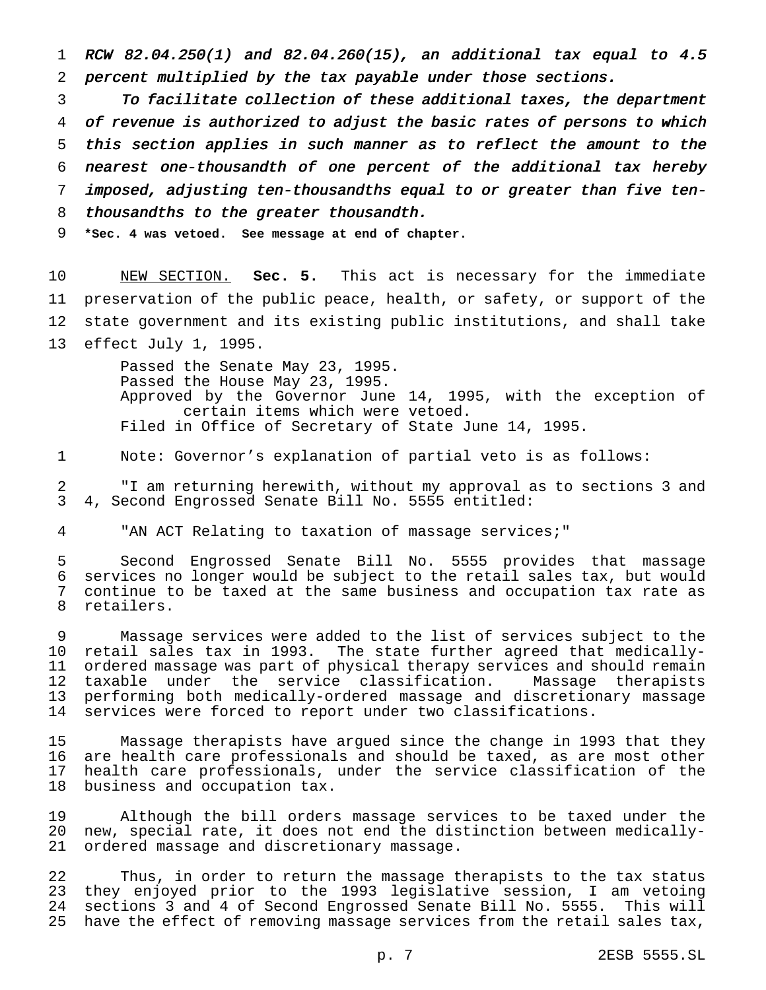RCW 82.04.250(1) and 82.04.260(15), an additional tax equal to 4.5 percent multiplied by the tax payable under those sections.

 To facilitate collection of these additional taxes, the department of revenue is authorized to adjust the basic rates of persons to which this section applies in such manner as to reflect the amount to the nearest one-thousandth of one percent of the additional tax hereby imposed, adjusting ten-thousandths equal to or greater than five ten-8 thousandths to the greater thousandth.

**\*Sec. 4 was vetoed. See message at end of chapter.**

 NEW SECTION. **Sec. 5.** This act is necessary for the immediate preservation of the public peace, health, or safety, or support of the state government and its existing public institutions, and shall take effect July 1, 1995.

> Passed the Senate May 23, 1995. Passed the House May 23, 1995. Approved by the Governor June 14, 1995, with the exception of certain items which were vetoed. Filed in Office of Secretary of State June 14, 1995.

Note: Governor's explanation of partial veto is as follows:

 "I am returning herewith, without my approval as to sections 3 and 4, Second Engrossed Senate Bill No. 5555 entitled:

"AN ACT Relating to taxation of massage services;"

 Second Engrossed Senate Bill No. 5555 provides that massage services no longer would be subject to the retail sales tax, but would continue to be taxed at the same business and occupation tax rate as retailers.

 Massage services were added to the list of services subject to the retail sales tax in 1993. The state further agreed that medically- ordered massage was part of physical therapy services and should remain taxable under the service classification. Massage therapists performing both medically-ordered massage and discretionary massage services were forced to report under two classifications.

 Massage therapists have argued since the change in 1993 that they are health care professionals and should be taxed, as are most other health care professionals, under the service classification of the business and occupation tax.

 Although the bill orders massage services to be taxed under the new, special rate, it does not end the distinction between medically-ordered massage and discretionary massage.

 Thus, in order to return the massage therapists to the tax status they enjoyed prior to the 1993 legislative session, I am vetoing sections 3 and 4 of Second Engrossed Senate Bill No. 5555. This will have the effect of removing massage services from the retail sales tax,